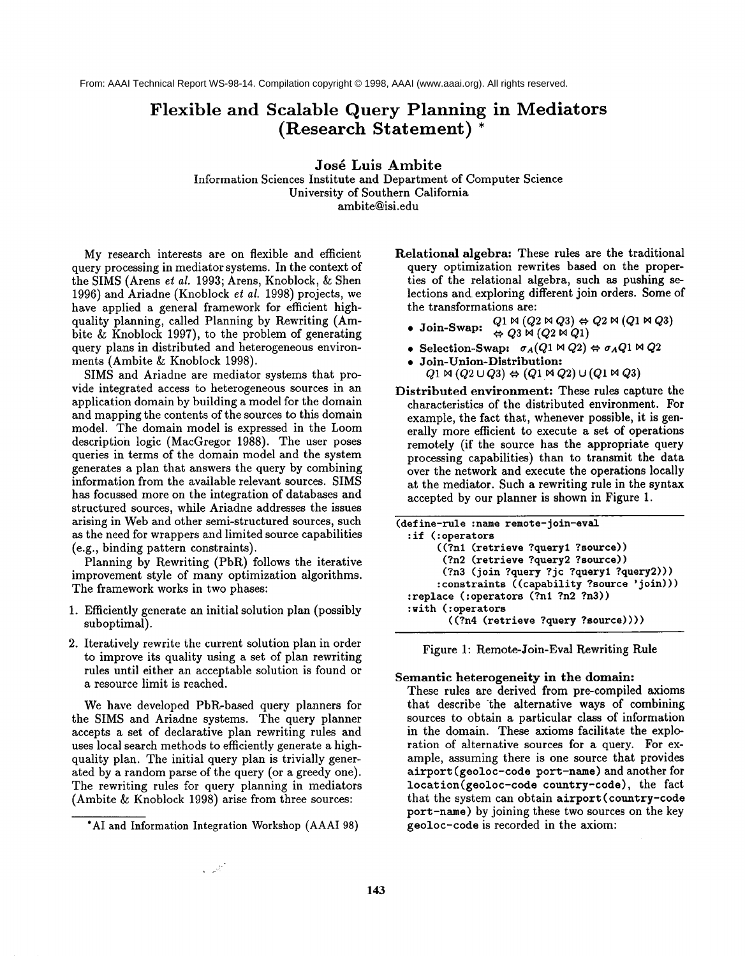From: AAAI Technical Report WS-98-14. Compilation copyright © 1998, AAAI (www.aaai.org). All rights reserved.

## **Flexible and Scalable Query Planning in Mediators (Research Statement)**

**Josd Luis Ambite** Information Sciences Institute and Department of Computer Science University of Southern California ambite@isi.edu

My research interests are on flexible and efficient query processing in mediator systems. In the context of the SIMS (Arens et *al.* 1993; Arens, Knoblock, & Shen 1996) and Ariadne (Knoblock et *al.* 1998) projects, we have applied a general framework for efficient highquality planning, called Planning by Rewriting (Ambite & Knoblock 1997), to the problem of generating query plans in distributed and heterogeneous environments (Ambite & Knoblock 1998).

SIMS and Ariadne are mediator systems that provide integrated access to heterogeneous sources in an application domain by building a model for the domain and mapping the contents of the sources to this domain model. The domain model is expressed in the Loom description logic (MacGregor 1988). The user poses queries in terms of the domain model and the system generates a plan that answers the query by combining information from the available relevant sources. SIMS has focussed more on the integration of databases and structured sources, while Ariadne addresses the issues arising in Web and other semi-structured sources, such as the need for wrappers and limited source capabilities (e.g., binding pattern constraints).

Planning by Rewriting (PbR) follows the iterative improvement style of many optimization algorithms. The framework works in two phases:

- 1. Efficiently generate an initial solution plan (possibly suboptimal).
- 2. Iteratively rewrite the current solution plan in order to improve its quality using a set of plan rewriting rules until either an acceptable solution is found or a resource limit is reached.

We have developed PbR-based query planners for the SIMS and Ariadne systems. The query planner accepts a set of declarative plan rewriting rules and uses local search methods to efficiently generate a highquality plan. The initial query plan is trivially generated by a random parse of the query (or a greedy one). The rewriting rules for query planning in mediators (Ambite & Knoblock 1998) arise from three sources:

 $\sim$   $\omega$ 

Relational algebra: These rules are the traditional query optimization rewrites based on the properties of the relational algebra, such as pushing selections and exploring different join orders. Some of the transformations are:

- **Join-Swap:**  $Q_1 \bowtie (Q_2 \bowtie Q_3) \Leftrightarrow Q_2 \bowtie (Q_1 \bowtie Q_3)$
- $\Leftrightarrow$  Q3 M  $(Q2 M Q1)$
- Selection-Swap:  $\sigma_A(Q_1 \bowtie Q_2) \Leftrightarrow \sigma_A Q_1 \bowtie Q_2$
- **¯ Joln-Union-Distribution:**  $Q1 \bowtie (Q2 \cup Q3) \Leftrightarrow (Q1 \bowtie Q2) \cup (Q1 \bowtie Q3)$
- Distributed environment: These rules capture the characteristics of the distributed environment. For example, the fact that, whenever possible, it is generally more efficient to execute a set of operations remotely (if the source has the appropriate query processing capabilities) than to transmit the data over the network and execute the operations locally at the mediator. Such a rewriting rule in the syntax accepted by our planner is shown in Figure 1.

| (define-rule :name remote-join-eval        |
|--------------------------------------------|
| $:$ if $(:$ operators                      |
| ((?n1 (retrieve ?query1 ?source))          |
| (?n2 (retrieve ?query2 ?source))           |
| (?n3 (join ?query ?jc ?query1 ?query2)))   |
| :constraints ((capability ?source 'join))) |
| :replace (:operators (?n1 ?n2 ?n3))        |
| :with (:operators                          |
| ((?n4 (retrieve ?query ?source))))         |

Figure 1: Remote-Join-Eval Rewriting Rule

## **Semantic heterogeneity in the domain:**

These rules are derived from pre-compiled axioms that describe the alternative ways of combining sources to obtain a particular class of information in the domain. These axioms facilitate the exploration of alternative sources for a query. For example, assuming there is one source that provides airport (geoloc-eode port-name) and another for  $location(geoloc-code country-code)$ , the fact that the system can obtain airport(country-code port-name) by joining these two sources on the key geoloc-code is recorded in the axiom:

<sup>\*</sup>AI and Information Integration Workshop (AAAI 98)